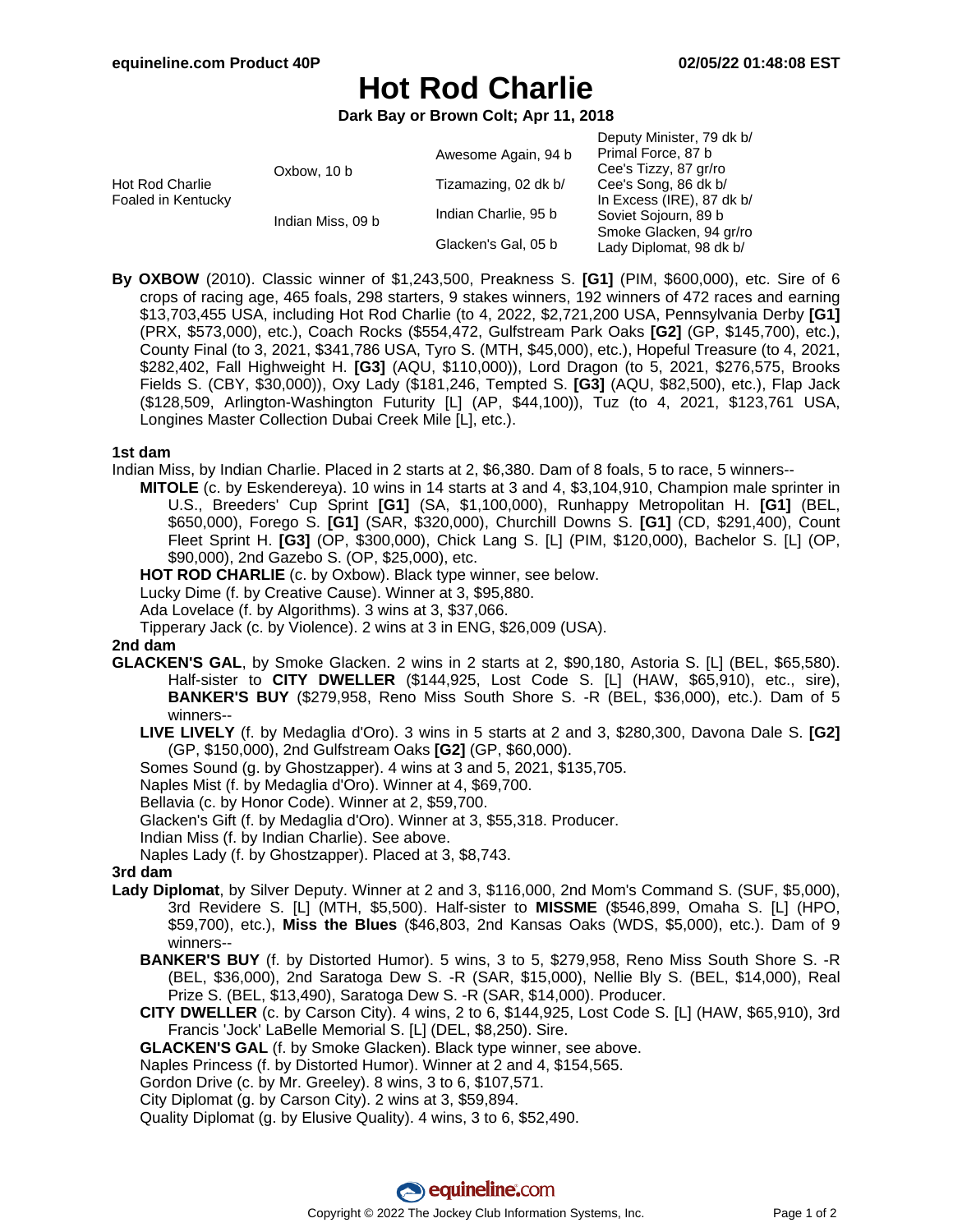Deputy Minister, 79 dk b/

# **Hot Rod Charlie**

**Dark Bay or Brown Colt; Apr 11, 2018**

|                                       |                   |                      | $D$ eputy iviliated, $T$ or $D$ |
|---------------------------------------|-------------------|----------------------|---------------------------------|
| Hot Rod Charlie<br>Foaled in Kentucky | Oxbow, 10 b       | Awesome Again, 94 b  | Primal Force, 87 b              |
|                                       |                   |                      | Cee's Tizzy, 87 gr/ro           |
|                                       |                   | Tizamazing, 02 dk b/ | Cee's Song, 86 dk b/            |
|                                       | Indian Miss, 09 b | Indian Charlie, 95 b | In Excess (IRE), 87 dk b/       |
|                                       |                   |                      | Soviet Sojourn, 89 b            |
|                                       |                   | Glacken's Gal, 05 b  | Smoke Glacken, 94 gr/ro         |
|                                       |                   |                      | Lady Diplomat, 98 dk b/         |
|                                       |                   |                      |                                 |

**By OXBOW** (2010). Classic winner of \$1,243,500, Preakness S. **[G1]** (PIM, \$600,000), etc. Sire of 6 crops of racing age, 465 foals, 298 starters, 9 stakes winners, 192 winners of 472 races and earning \$13,703,455 USA, including Hot Rod Charlie (to 4, 2022, \$2,721,200 USA, Pennsylvania Derby **[G1]** (PRX, \$573,000), etc.), Coach Rocks (\$554,472, Gulfstream Park Oaks **[G2]** (GP, \$145,700), etc.), County Final (to 3, 2021, \$341,786 USA, Tyro S. (MTH, \$45,000), etc.), Hopeful Treasure (to 4, 2021, \$282,402, Fall Highweight H. **[G3]** (AQU, \$110,000)), Lord Dragon (to 5, 2021, \$276,575, Brooks Fields S. (CBY, \$30,000)), Oxy Lady (\$181,246, Tempted S. **[G3]** (AQU, \$82,500), etc.), Flap Jack (\$128,509, Arlington-Washington Futurity [L] (AP, \$44,100)), Tuz (to 4, 2021, \$123,761 USA, Longines Master Collection Dubai Creek Mile [L], etc.).

## **1st dam**

Indian Miss, by Indian Charlie. Placed in 2 starts at 2, \$6,380. Dam of 8 foals, 5 to race, 5 winners--

**MITOLE** (c. by Eskendereya). 10 wins in 14 starts at 3 and 4, \$3,104,910, Champion male sprinter in U.S., Breeders' Cup Sprint **[G1]** (SA, \$1,100,000), Runhappy Metropolitan H. **[G1]** (BEL, \$650,000), Forego S. **[G1]** (SAR, \$320,000), Churchill Downs S. **[G1]** (CD, \$291,400), Count Fleet Sprint H. **[G3]** (OP, \$300,000), Chick Lang S. [L] (PIM, \$120,000), Bachelor S. [L] (OP, \$90,000), 2nd Gazebo S. (OP, \$25,000), etc.

HOT ROD CHARLIE (c. by Oxbow). Black type winner, see below.

Lucky Dime (f. by Creative Cause). Winner at 3, \$95,880.

Ada Lovelace (f. by Algorithms). 3 wins at 3, \$37,066.

Tipperary Jack (c. by Violence). 2 wins at 3 in ENG, \$26,009 (USA).

## **2nd dam**

**GLACKEN'S GAL**, by Smoke Glacken. 2 wins in 2 starts at 2, \$90,180, Astoria S. [L] (BEL, \$65,580). Half-sister to **CITY DWELLER** (\$144,925, Lost Code S. [L] (HAW, \$65,910), etc., sire), **BANKER'S BUY** (\$279,958, Reno Miss South Shore S. -R (BEL, \$36,000), etc.). Dam of 5 winners--

**LIVE LIVELY** (f. by Medaglia d'Oro). 3 wins in 5 starts at 2 and 3, \$280,300, Davona Dale S. **[G2]** (GP, \$150,000), 2nd Gulfstream Oaks **[G2]** (GP, \$60,000).

Somes Sound (g. by Ghostzapper). 4 wins at 3 and 5, 2021, \$135,705.

Naples Mist (f. by Medaglia d'Oro). Winner at 4, \$69,700.

Bellavia (c. by Honor Code). Winner at 2, \$59,700.

Glacken's Gift (f. by Medaglia d'Oro). Winner at 3, \$55,318. Producer.

Indian Miss (f. by Indian Charlie). See above.

Naples Lady (f. by Ghostzapper). Placed at 3, \$8,743.

## **3rd dam**

- **Lady Diplomat**, by Silver Deputy. Winner at 2 and 3, \$116,000, 2nd Mom's Command S. (SUF, \$5,000), 3rd Revidere S. [L] (MTH, \$5,500). Half-sister to **MISSME** (\$546,899, Omaha S. [L] (HPO, \$59,700), etc.), **Miss the Blues** (\$46,803, 2nd Kansas Oaks (WDS, \$5,000), etc.). Dam of 9 winners--
	- **BANKER'S BUY** (f. by Distorted Humor). 5 wins, 3 to 5, \$279,958, Reno Miss South Shore S. -R (BEL, \$36,000), 2nd Saratoga Dew S. -R (SAR, \$15,000), Nellie Bly S. (BEL, \$14,000), Real Prize S. (BEL, \$13,490), Saratoga Dew S. -R (SAR, \$14,000). Producer.
	- **CITY DWELLER** (c. by Carson City). 4 wins, 2 to 6, \$144,925, Lost Code S. [L] (HAW, \$65,910), 3rd Francis 'Jock' LaBelle Memorial S. [L] (DEL, \$8,250). Sire.

**GLACKEN'S GAL** (f. by Smoke Glacken). Black type winner, see above.

Naples Princess (f. by Distorted Humor). Winner at 2 and 4, \$154,565.

Gordon Drive (c. by Mr. Greeley). 8 wins, 3 to 6, \$107,571.

City Diplomat (g. by Carson City). 2 wins at 3, \$59,894.

Quality Diplomat (g. by Elusive Quality). 4 wins, 3 to 6, \$52,490.